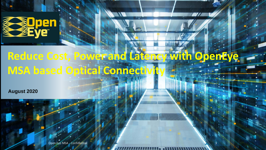

## **Reduce Cost, Power and Latency with OpenEye MSA based Optical Connectivity**

**August 2020**



1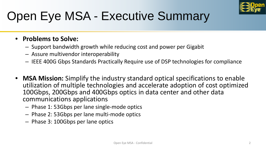

# Open Eye MSA - Executive Summary

#### • **Problems to Solve:**

- Support bandwidth growth while reducing cost and power per Gigabit
- Assure multivendor interoperability
- IEEE 400G Gbps Standards Practically Require use of DSP technologies for compliance
- **MSA Mission:** Simplify the industry standard optical specifications to enable utilization of multiple technologies and accelerate adoption of cost optimized 100Gbps, 200Gbps and 400Gbps optics in data center and other data communications applications
	- Phase 1: 53Gbps per lane single-mode optics
	- Phase 2: 53Gbps per lane multi-mode optics
	- Phase 3: 100Gbps per lane optics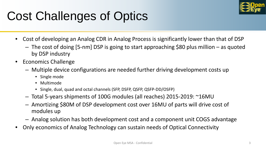

# Cost Challenges of Optics

- Cost of developing an Analog CDR in Analog Process is significantly lower than that of DSP
	- The cost of doing [5-nm] DSP is going to start approaching \$80 plus million as quoted by DSP industry
- Economics Challenge
	- Multiple device configurations are needed further driving development costs up
		- Single mode
		- Multimode
		- Single, dual, quad and octal channels (SFP, DSFP, QSFP, QSFP-DD/OSFP)
	- Total 5-years shipments of 100G modules (all reaches) 2015-2019: ~16MU
	- Amortizing \$80M of DSP development cost over 16MU of parts will drive cost of modules up
	- Analog solution has both development cost and a component unit COGS advantage
- Only economics of Analog Technology can sustain needs of Optical Connectivity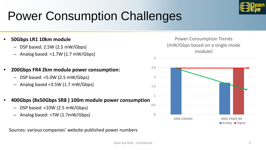

# Power Consumption Challenges

- **50Gbps LR1 10km module**
	- DSP based: 2.5W (2.5 mW/Gbps)
	- Analog based: <1.7W (1.7 mW/Gbps)
- **200Gbps FR4 2km module power consumption:**
	- DSP based: <5.0W (2.5 mW/Gbps)
	- Analog based <3.5W (1.7 mW/Gbps)
- **400Gbps (8x50Gbps SR8 ) 100m module power consumption**
	- DSP based: <10W (2.5 mW/Gbps)
	- Analog based: <7W (1.7mW/Gbps)

Sources: various companies' website published power numbers

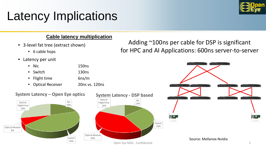# Latency Implications

#### **Cable latency multiplication**

- 3-level fat tree (extract shown)
	- 6 cable hops
- Latency per unit

8%

• Nic 150ns

#### Adding ~100ns per cable for DSP is significant for HPC and AI Applications: 600ns server-to-server

#### Open Eye MSA - Confidential 5 Nic 20% Switch 44% Optical-Module Optical-FlightTime 28% **System Latency – Open Eye optics** Nic 13% Switch 29% Optical-Module 40% Optical-FlightTime 18% **System Latency - DSP based**  • Switch 130ns • Flight time 6ns/m • Optical Receiver 20ns vs. 120ns Source: Mellanox-Nvidia

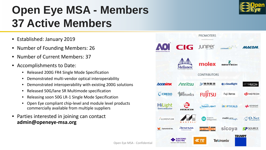## **Open Eye MSA - Members 37 Active Members**

- Established: January 2019
- Number of Founding Members: 26
- Number of Current Members: 37
- Accomplishments to Date:
	- Released 200G FR4 Single Mode Specification
	- Demonstrated multi-vendor optical interoperability
	- Demonstrated interoperability with existing 200G solutions
	- Released 50G/lane SR Multimode specification
	- Releasing soon 50G LR-1 Single Mode Specification
	- Open Eye compliant chip-level and module level products commercially available from multiple suppliers
- Parties interested in joining can contact **admin@openeye-msa.org**



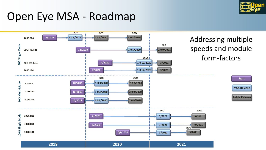

## Open Eye MSA - Roadmap